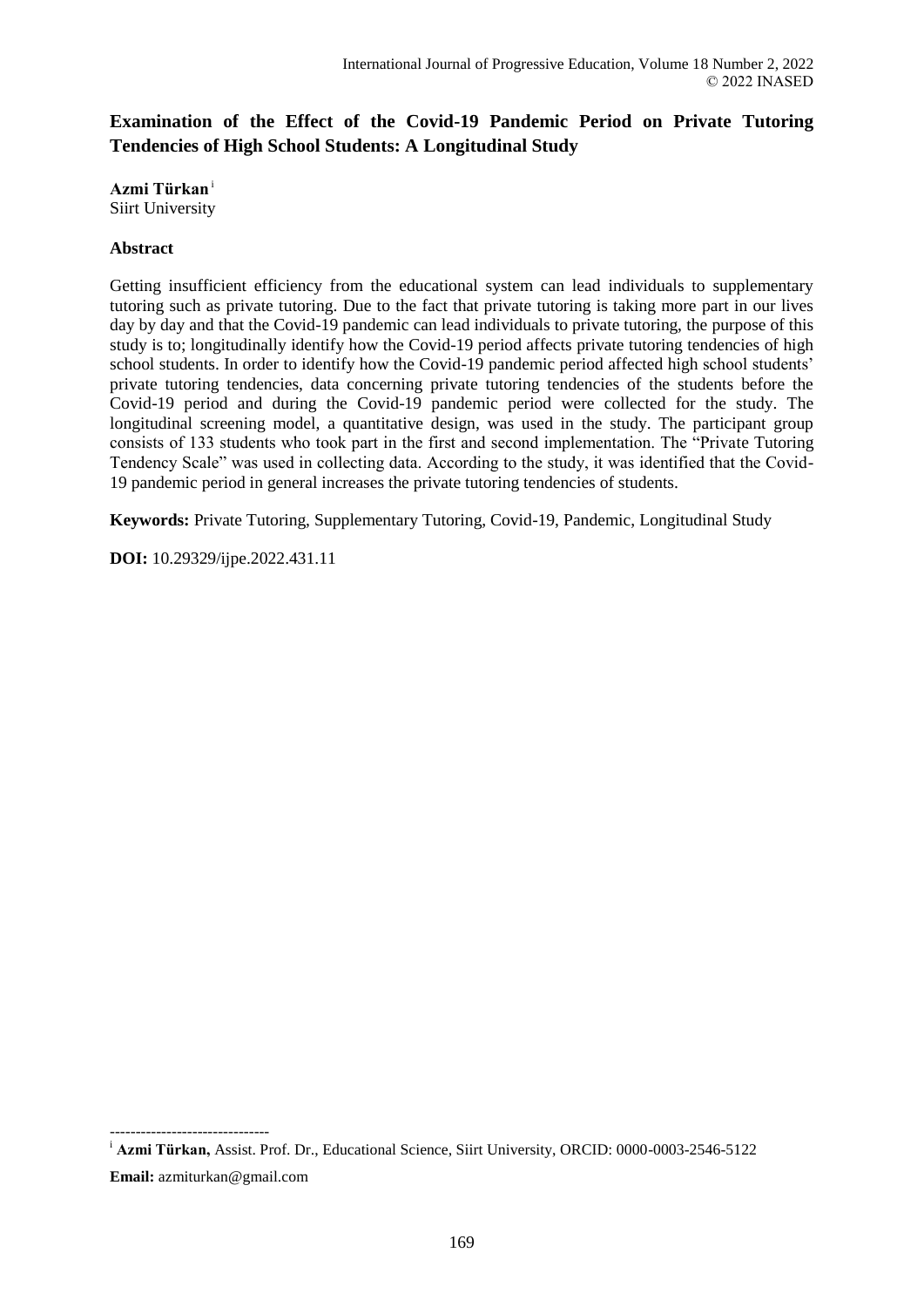# **Examination of the Effect of the Covid-19 Pandemic Period on Private Tutoring Tendencies of High School Students: A Longitudinal Study**

**Azmi Türkan**<sup>i</sup> Siirt University

# **Abstract**

Getting insufficient efficiency from the educational system can lead individuals to supplementary tutoring such as private tutoring. Due to the fact that private tutoring is taking more part in our lives day by day and that the Covid-19 pandemic can lead individuals to private tutoring, the purpose of this study is to; longitudinally identify how the Covid-19 period affects private tutoring tendencies of high school students. In order to identify how the Covid-19 pandemic period affected high school students' private tutoring tendencies, data concerning private tutoring tendencies of the students before the Covid-19 period and during the Covid-19 pandemic period were collected for the study. The longitudinal screening model, a quantitative design, was used in the study. The participant group consists of 133 students who took part in the first and second implementation. The "Private Tutoring Tendency Scale" was used in collecting data. According to the study, it was identified that the Covid-19 pandemic period in general increases the private tutoring tendencies of students.

**Keywords:** Private Tutoring, Supplementary Tutoring, Covid-19, Pandemic, Longitudinal Study

**DOI:** 10.29329/ijpe.2022.431.11

<sup>------------------------------</sup> <sup>i</sup> **Azmi Türkan,** Assist. Prof. Dr., Educational Science, Siirt University, ORCID: 0000-0003-2546-5122 **Email:** azmiturkan@gmail.com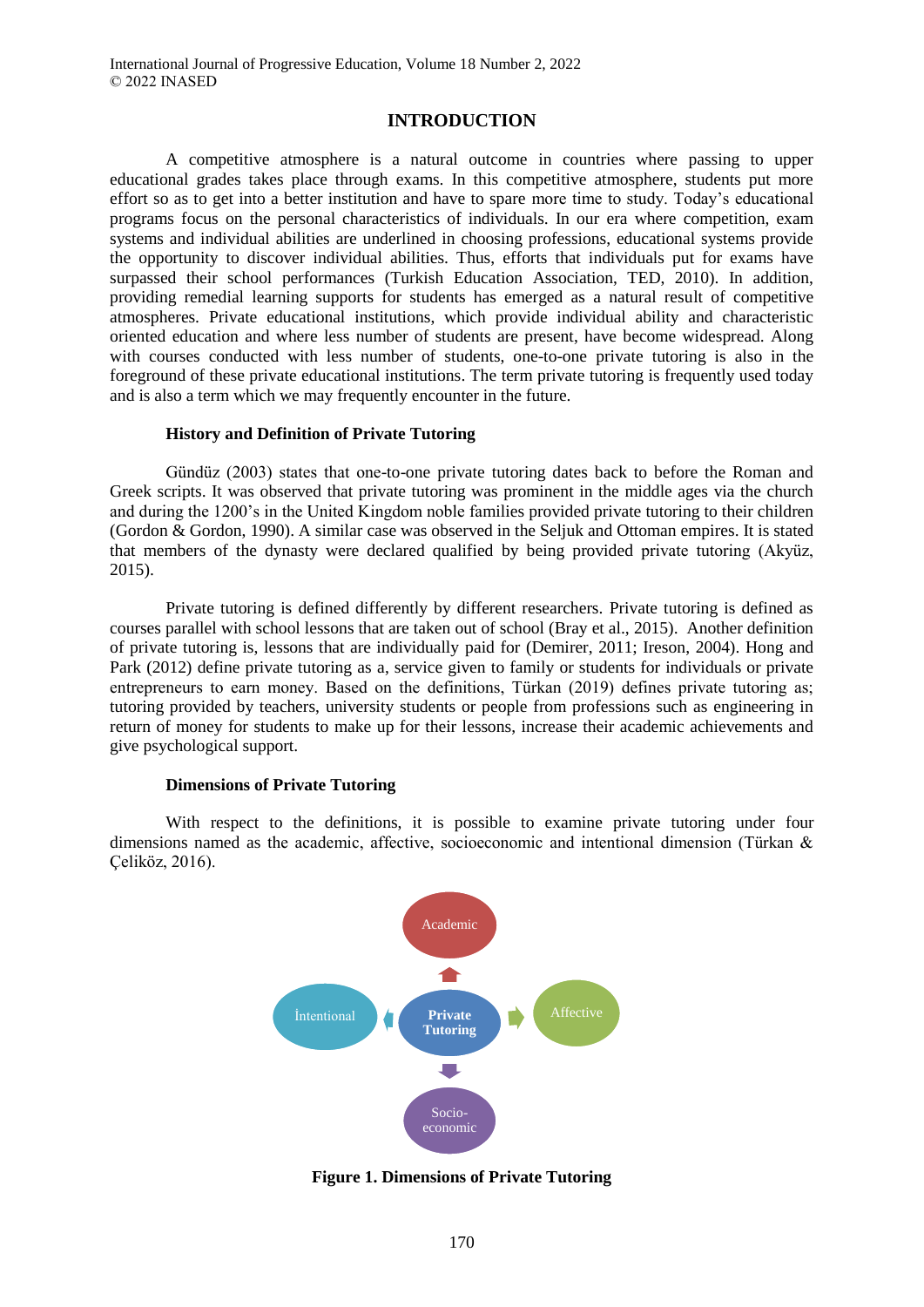## **INTRODUCTION**

A competitive atmosphere is a natural outcome in countries where passing to upper educational grades takes place through exams. In this competitive atmosphere, students put more effort so as to get into a better institution and have to spare more time to study. Today's educational programs focus on the personal characteristics of individuals. In our era where competition, exam systems and individual abilities are underlined in choosing professions, educational systems provide the opportunity to discover individual abilities. Thus, efforts that individuals put for exams have surpassed their school performances (Turkish Education Association, TED, 2010). In addition, providing remedial learning supports for students has emerged as a natural result of competitive atmospheres. Private educational institutions, which provide individual ability and characteristic oriented education and where less number of students are present, have become widespread. Along with courses conducted with less number of students, one-to-one private tutoring is also in the foreground of these private educational institutions. The term private tutoring is frequently used today and is also a term which we may frequently encounter in the future.

#### **History and Definition of Private Tutoring**

Gündüz (2003) states that one-to-one private tutoring dates back to before the Roman and Greek scripts. It was observed that private tutoring was prominent in the middle ages via the church and during the 1200's in the United Kingdom noble families provided private tutoring to their children (Gordon & Gordon, 1990). A similar case was observed in the Seljuk and Ottoman empires. It is stated that members of the dynasty were declared qualified by being provided private tutoring (Akyüz, 2015).

Private tutoring is defined differently by different researchers. Private tutoring is defined as courses parallel with school lessons that are taken out of school (Bray et al., 2015). Another definition of private tutoring is, lessons that are individually paid for (Demirer, 2011; Ireson, 2004). Hong and Park (2012) define private tutoring as a, service given to family or students for individuals or private entrepreneurs to earn money. Based on the definitions, Türkan (2019) defines private tutoring as; tutoring provided by teachers, university students or people from professions such as engineering in return of money for students to make up for their lessons, increase their academic achievements and give psychological support.

#### **Dimensions of Private Tutoring**

With respect to the definitions, it is possible to examine private tutoring under four dimensions named as the academic, affective, socioeconomic and intentional dimension (Türkan & Celiköz, 2016).



**Figure 1. Dimensions of Private Tutoring**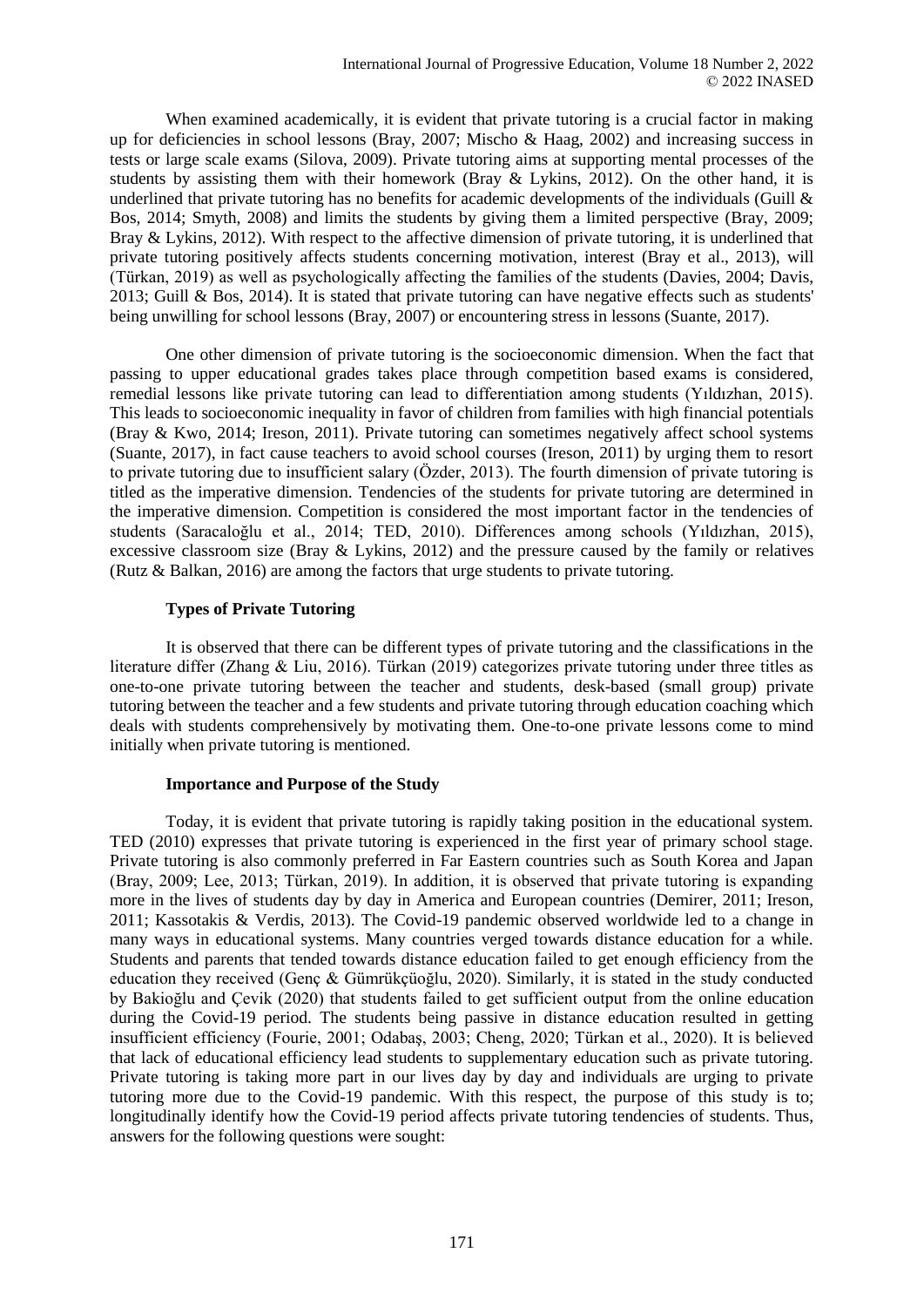When examined academically, it is evident that private tutoring is a crucial factor in making up for deficiencies in school lessons (Bray, 2007; Mischo & Haag, 2002) and increasing success in tests or large scale exams (Silova, 2009). Private tutoring aims at supporting mental processes of the students by assisting them with their homework (Bray & Lykins, 2012). On the other hand, it is underlined that private tutoring has no benefits for academic developments of the individuals (Guill & Bos, 2014; Smyth, 2008) and limits the students by giving them a limited perspective (Bray, 2009; Bray & Lykins, 2012). With respect to the affective dimension of private tutoring, it is underlined that private tutoring positively affects students concerning motivation, interest (Bray et al., 2013), will (Türkan, 2019) as well as psychologically affecting the families of the students (Davies, 2004; Davis, 2013; Guill & Bos, 2014). It is stated that private tutoring can have negative effects such as students' being unwilling for school lessons (Bray, 2007) or encountering stress in lessons (Suante, 2017).

One other dimension of private tutoring is the socioeconomic dimension. When the fact that passing to upper educational grades takes place through competition based exams is considered, remedial lessons like private tutoring can lead to differentiation among students (Yıldızhan, 2015). This leads to socioeconomic inequality in favor of children from families with high financial potentials (Bray & Kwo, 2014; Ireson, 2011). Private tutoring can sometimes negatively affect school systems (Suante, 2017), in fact cause teachers to avoid school courses (Ireson, 2011) by urging them to resort to private tutoring due to insufficient salary (Özder, 2013). The fourth dimension of private tutoring is titled as the imperative dimension. Tendencies of the students for private tutoring are determined in the imperative dimension. Competition is considered the most important factor in the tendencies of students (Saracaloğlu et al., 2014; TED, 2010). Differences among schools (Yıldızhan, 2015), excessive classroom size (Bray & Lykins, 2012) and the pressure caused by the family or relatives (Rutz & Balkan, 2016) are among the factors that urge students to private tutoring.

# **Types of Private Tutoring**

It is observed that there can be different types of private tutoring and the classifications in the literature differ (Zhang & Liu, 2016). Türkan (2019) categorizes private tutoring under three titles as one-to-one private tutoring between the teacher and students, desk-based (small group) private tutoring between the teacher and a few students and private tutoring through education coaching which deals with students comprehensively by motivating them. One-to-one private lessons come to mind initially when private tutoring is mentioned.

## **Importance and Purpose of the Study**

Today, it is evident that private tutoring is rapidly taking position in the educational system. TED (2010) expresses that private tutoring is experienced in the first year of primary school stage. Private tutoring is also commonly preferred in Far Eastern countries such as South Korea and Japan (Bray, 2009; Lee, 2013; Türkan, 2019). In addition, it is observed that private tutoring is expanding more in the lives of students day by day in America and European countries (Demirer, 2011; Ireson, 2011; Kassotakis & Verdis, 2013). The Covid-19 pandemic observed worldwide led to a change in many ways in educational systems. Many countries verged towards distance education for a while. Students and parents that tended towards distance education failed to get enough efficiency from the education they received (Genç & Gümrükçüoğlu, 2020). Similarly, it is stated in the study conducted by Bakioğlu and Çevik (2020) that students failed to get sufficient output from the online education during the Covid-19 period. The students being passive in distance education resulted in getting insufficient efficiency (Fourie, 2001; Odabaş, 2003; Cheng, 2020; Türkan et al., 2020). It is believed that lack of educational efficiency lead students to supplementary education such as private tutoring. Private tutoring is taking more part in our lives day by day and individuals are urging to private tutoring more due to the Covid-19 pandemic. With this respect, the purpose of this study is to; longitudinally identify how the Covid-19 period affects private tutoring tendencies of students. Thus, answers for the following questions were sought: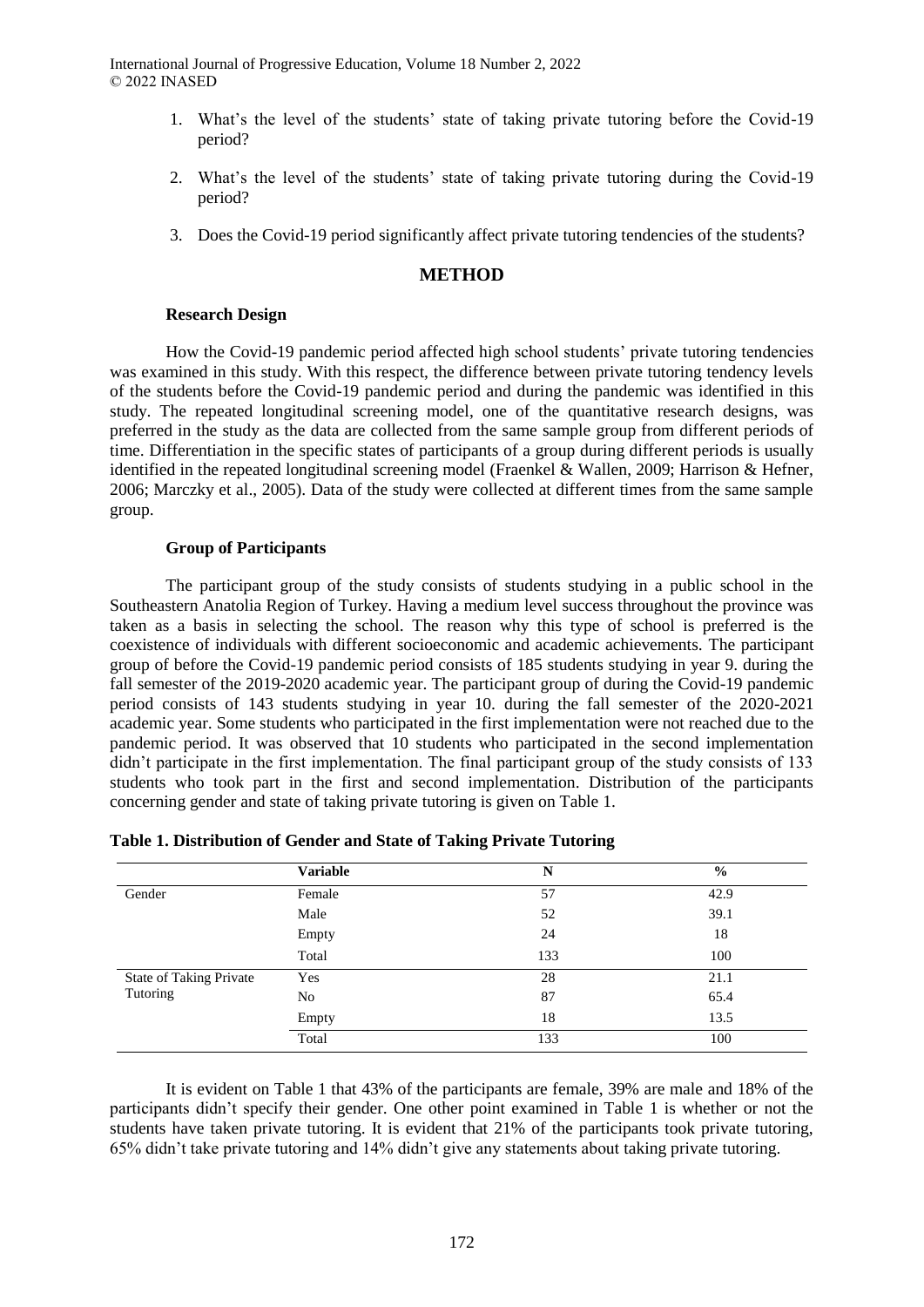- 1. What's the level of the students' state of taking private tutoring before the Covid-19 period?
- 2. What's the level of the students' state of taking private tutoring during the Covid-19 period?
- 3. Does the Covid-19 period significantly affect private tutoring tendencies of the students?

#### **METHOD**

#### **Research Design**

How the Covid-19 pandemic period affected high school students' private tutoring tendencies was examined in this study. With this respect, the difference between private tutoring tendency levels of the students before the Covid-19 pandemic period and during the pandemic was identified in this study. The repeated longitudinal screening model, one of the quantitative research designs, was preferred in the study as the data are collected from the same sample group from different periods of time. Differentiation in the specific states of participants of a group during different periods is usually identified in the repeated longitudinal screening model (Fraenkel & Wallen, 2009; Harrison & Hefner, 2006; Marczky et al., 2005). Data of the study were collected at different times from the same sample group.

#### **Group of Participants**

The participant group of the study consists of students studying in a public school in the Southeastern Anatolia Region of Turkey. Having a medium level success throughout the province was taken as a basis in selecting the school. The reason why this type of school is preferred is the coexistence of individuals with different socioeconomic and academic achievements. The participant group of before the Covid-19 pandemic period consists of 185 students studying in year 9. during the fall semester of the 2019-2020 academic year. The participant group of during the Covid-19 pandemic period consists of 143 students studying in year 10. during the fall semester of the 2020-2021 academic year. Some students who participated in the first implementation were not reached due to the pandemic period. It was observed that 10 students who participated in the second implementation didn't participate in the first implementation. The final participant group of the study consists of 133 students who took part in the first and second implementation. Distribution of the participants concerning gender and state of taking private tutoring is given on Table 1.

|                         | <b>Variable</b> | N   | $\frac{0}{0}$ |
|-------------------------|-----------------|-----|---------------|
| Gender                  | Female          | 57  | 42.9          |
|                         | Male            | 52  | 39.1          |
|                         | Empty           | 24  | 18            |
|                         | Total           | 133 | 100           |
| State of Taking Private | Yes             | 28  | 21.1          |
| Tutoring                | No              | 87  | 65.4          |
|                         | Empty           | 18  | 13.5          |
|                         | Total           | 133 | 100           |

| Table 1. Distribution of Gender and State of Taking Private Tutoring |  |  |  |
|----------------------------------------------------------------------|--|--|--|
|                                                                      |  |  |  |

It is evident on Table 1 that 43% of the participants are female, 39% are male and 18% of the participants didn't specify their gender. One other point examined in Table 1 is whether or not the students have taken private tutoring. It is evident that 21% of the participants took private tutoring, 65% didn't take private tutoring and 14% didn't give any statements about taking private tutoring.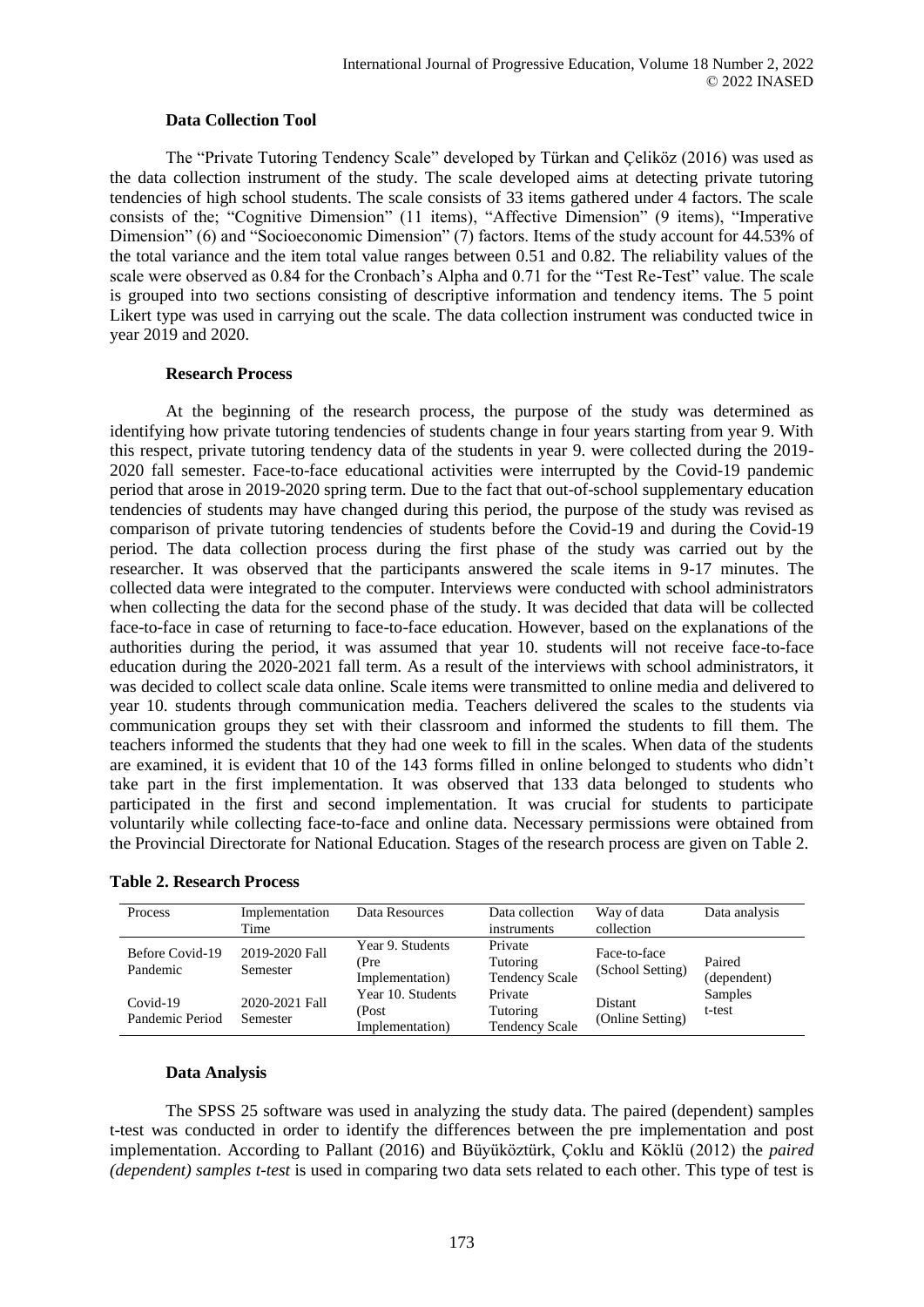# **Data Collection Tool**

The "Private Tutoring Tendency Scale" developed by Türkan and Çeliköz (2016) was used as the data collection instrument of the study. The scale developed aims at detecting private tutoring tendencies of high school students. The scale consists of 33 items gathered under 4 factors. The scale consists of the; "Cognitive Dimension" (11 items), "Affective Dimension" (9 items), "Imperative Dimension" (6) and "Socioeconomic Dimension" (7) factors. Items of the study account for 44.53% of the total variance and the item total value ranges between 0.51 and 0.82. The reliability values of the scale were observed as 0.84 for the Cronbach's Alpha and 0.71 for the "Test Re-Test" value. The scale is grouped into two sections consisting of descriptive information and tendency items. The 5 point Likert type was used in carrying out the scale. The data collection instrument was conducted twice in year 2019 and 2020.

#### **Research Process**

At the beginning of the research process, the purpose of the study was determined as identifying how private tutoring tendencies of students change in four years starting from year 9. With this respect, private tutoring tendency data of the students in year 9. were collected during the 2019- 2020 fall semester. Face-to-face educational activities were interrupted by the Covid-19 pandemic period that arose in 2019-2020 spring term. Due to the fact that out-of-school supplementary education tendencies of students may have changed during this period, the purpose of the study was revised as comparison of private tutoring tendencies of students before the Covid-19 and during the Covid-19 period. The data collection process during the first phase of the study was carried out by the researcher. It was observed that the participants answered the scale items in 9-17 minutes. The collected data were integrated to the computer. Interviews were conducted with school administrators when collecting the data for the second phase of the study. It was decided that data will be collected face-to-face in case of returning to face-to-face education. However, based on the explanations of the authorities during the period, it was assumed that year 10. students will not receive face-to-face education during the 2020-2021 fall term. As a result of the interviews with school administrators, it was decided to collect scale data online. Scale items were transmitted to online media and delivered to year 10. students through communication media. Teachers delivered the scales to the students via communication groups they set with their classroom and informed the students to fill them. The teachers informed the students that they had one week to fill in the scales. When data of the students are examined, it is evident that 10 of the 143 forms filled in online belonged to students who didn't take part in the first implementation. It was observed that 133 data belonged to students who participated in the first and second implementation. It was crucial for students to participate voluntarily while collecting face-to-face and online data. Necessary permissions were obtained from the Provincial Directorate for National Education. Stages of the research process are given on Table 2.

| Process                     | Implementation<br>Time     | Data Resources                                | Data collection<br>instruments               | Way of data<br>collection        | Data analysis         |
|-----------------------------|----------------------------|-----------------------------------------------|----------------------------------------------|----------------------------------|-----------------------|
| Before Covid-19<br>Pandemic | 2019-2020 Fall<br>Semester | Year 9. Students<br>(Pre<br>Implementation)   | Private<br>Tutoring<br><b>Tendency Scale</b> | Face-to-face<br>(School Setting) | Paired<br>(dependent) |
| Covid-19<br>Pandemic Period | 2020-2021 Fall<br>Semester | Year 10. Students<br>(Post<br>Implementation) | Private<br>Tutoring<br><b>Tendency Scale</b> | Distant<br>(Online Setting)      | Samples<br>t-test     |

## **Table 2. Research Process**

## **Data Analysis**

The SPSS 25 software was used in analyzing the study data. The paired (dependent) samples t-test was conducted in order to identify the differences between the pre implementation and post implementation. According to Pallant (2016) and Büyüköztürk, Çoklu and Köklü (2012) the *paired (dependent) samples t-test* is used in comparing two data sets related to each other. This type of test is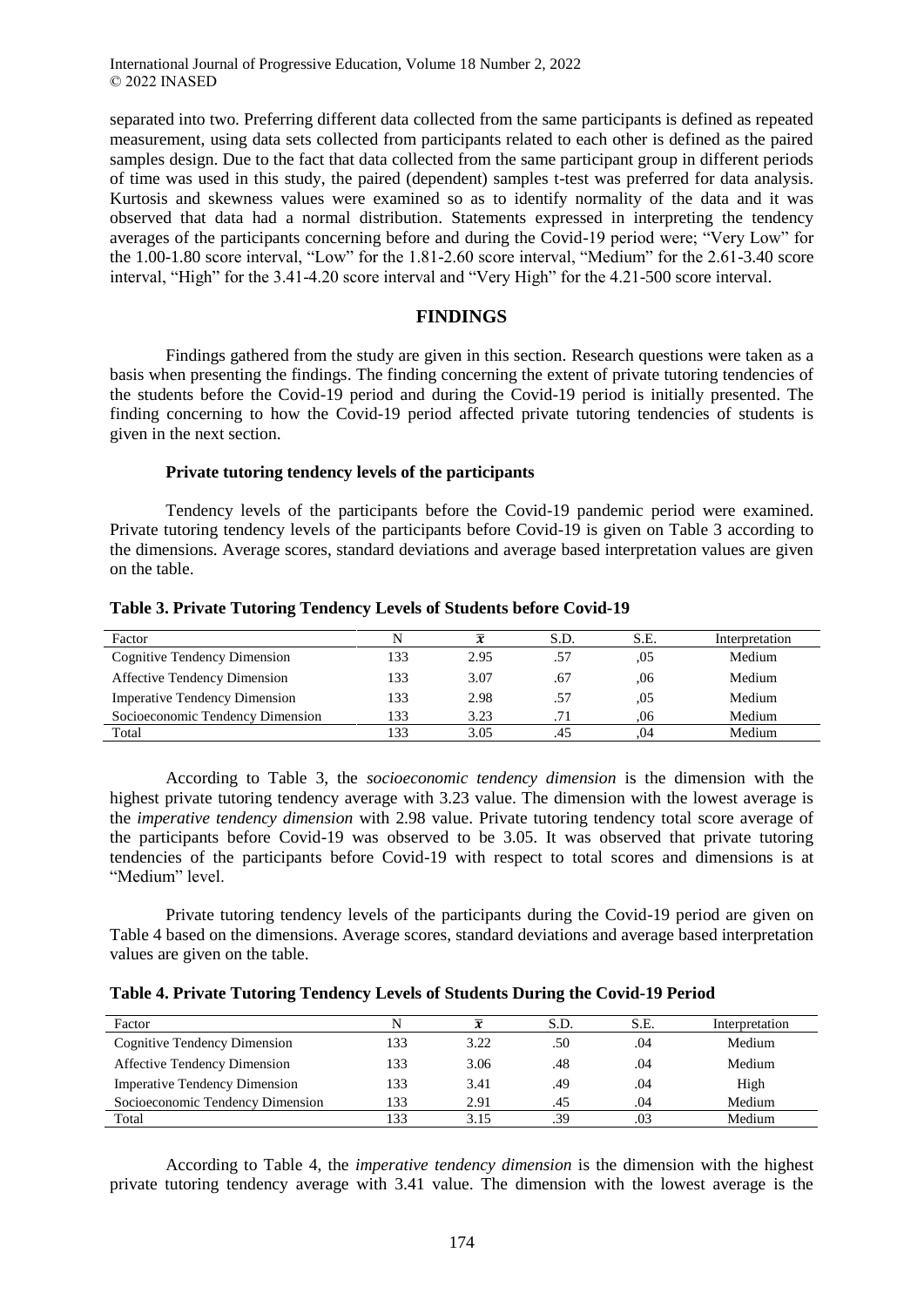separated into two. Preferring different data collected from the same participants is defined as repeated measurement, using data sets collected from participants related to each other is defined as the paired samples design. Due to the fact that data collected from the same participant group in different periods of time was used in this study, the paired (dependent) samples t-test was preferred for data analysis. Kurtosis and skewness values were examined so as to identify normality of the data and it was observed that data had a normal distribution. Statements expressed in interpreting the tendency averages of the participants concerning before and during the Covid-19 period were; "Very Low" for the 1.00-1.80 score interval, "Low" for the 1.81-2.60 score interval, "Medium" for the 2.61-3.40 score interval, "High" for the 3.41-4.20 score interval and "Very High" for the 4.21-500 score interval.

# **FINDINGS**

Findings gathered from the study are given in this section. Research questions were taken as a basis when presenting the findings. The finding concerning the extent of private tutoring tendencies of the students before the Covid-19 period and during the Covid-19 period is initially presented. The finding concerning to how the Covid-19 period affected private tutoring tendencies of students is given in the next section.

#### **Private tutoring tendency levels of the participants**

Tendency levels of the participants before the Covid-19 pandemic period were examined. Private tutoring tendency levels of the participants before Covid-19 is given on Table 3 according to the dimensions. Average scores, standard deviations and average based interpretation values are given on the table.

| Factor                               | N   |      | S.D. | S.E. | Interpretation |
|--------------------------------------|-----|------|------|------|----------------|
| Cognitive Tendency Dimension         | 133 | 2.95 | .57  | .05  | Medium         |
| Affective Tendency Dimension         | 133 | 3.07 | .67  | .06  | Medium         |
| <b>Imperative Tendency Dimension</b> | 133 | 2.98 | .57  | .05  | Medium         |
| Socioeconomic Tendency Dimension     | 133 | 3.23 | .71  | .06  | Medium         |
| Total                                | 133 | 3.05 | .45  | .04  | Medium         |

#### **Table 3. Private Tutoring Tendency Levels of Students before Covid-19**

According to Table 3, the *socioeconomic tendency dimension* is the dimension with the highest private tutoring tendency average with 3.23 value. The dimension with the lowest average is the *imperative tendency dimension* with 2.98 value. Private tutoring tendency total score average of the participants before Covid-19 was observed to be 3.05. It was observed that private tutoring tendencies of the participants before Covid-19 with respect to total scores and dimensions is at "Medium" level.

Private tutoring tendency levels of the participants during the Covid-19 period are given on Table 4 based on the dimensions. Average scores, standard deviations and average based interpretation values are given on the table.

## **Table 4. Private Tutoring Tendency Levels of Students During the Covid-19 Period**

| Factor                               | N   |      | S.D. | S.E. | Interpretation |
|--------------------------------------|-----|------|------|------|----------------|
| Cognitive Tendency Dimension         | 133 | 3.22 | .50  | .04  | Medium         |
| <b>Affective Tendency Dimension</b>  | 133 | 3.06 | .48  | .04  | Medium         |
| <b>Imperative Tendency Dimension</b> | 133 | 3.41 | .49  | .04  | High           |
| Socioeconomic Tendency Dimension     | 133 | 2.91 | .45  | .04  | Medium         |
| Total                                | 133 |      | .39  | .03  | Medium         |

According to Table 4, the *imperative tendency dimension* is the dimension with the highest private tutoring tendency average with 3.41 value. The dimension with the lowest average is the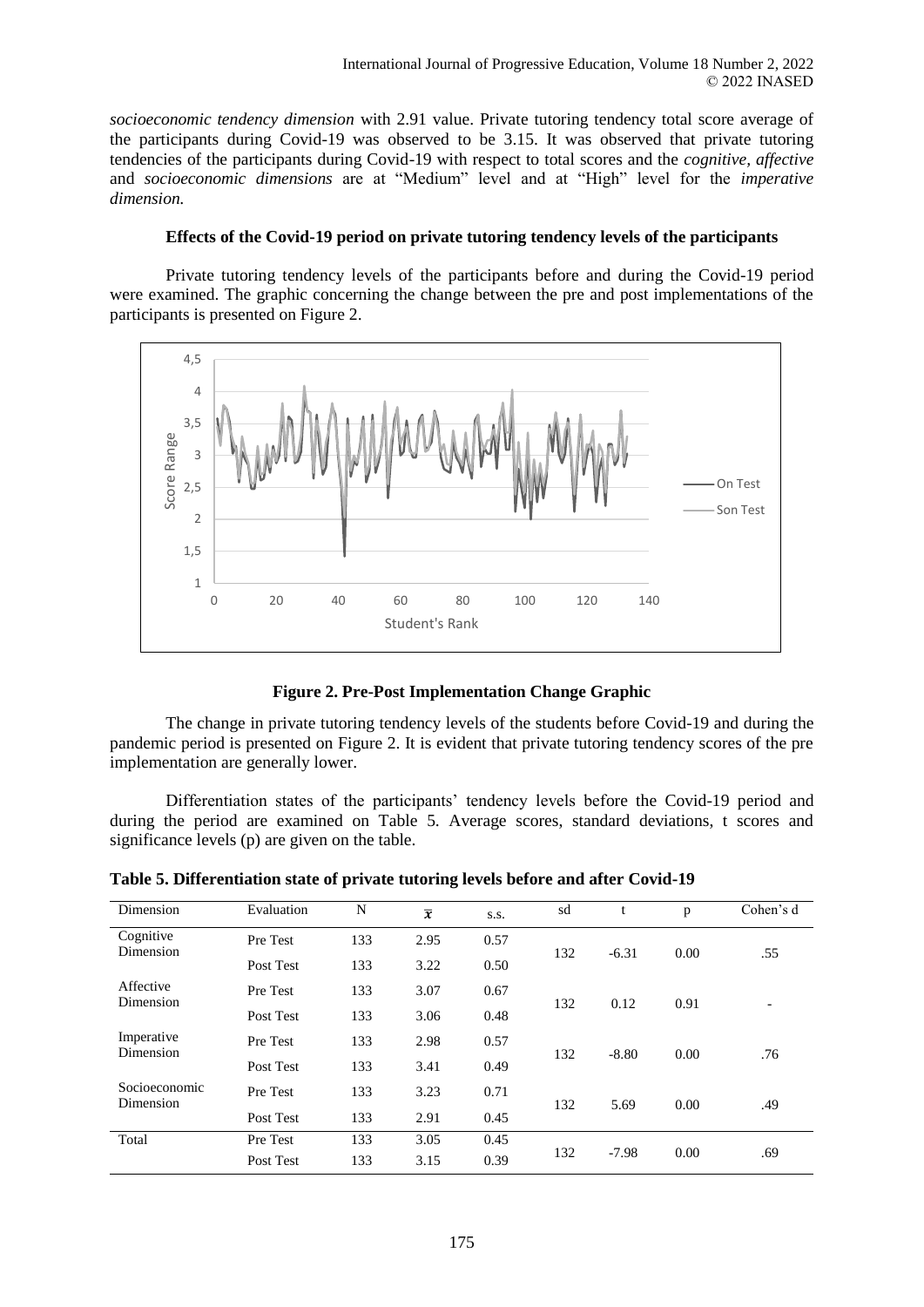*socioeconomic tendency dimension* with 2.91 value. Private tutoring tendency total score average of the participants during Covid-19 was observed to be 3.15. It was observed that private tutoring tendencies of the participants during Covid-19 with respect to total scores and the *cognitive, affective*  and *socioeconomic dimensions* are at "Medium" level and at "High" level for the *imperative dimension.*

## **Effects of the Covid-19 period on private tutoring tendency levels of the participants**

Private tutoring tendency levels of the participants before and during the Covid-19 period were examined. The graphic concerning the change between the pre and post implementations of the participants is presented on Figure 2.



**Figure 2. Pre-Post Implementation Change Graphic**

The change in private tutoring tendency levels of the students before Covid-19 and during the pandemic period is presented on Figure 2. It is evident that private tutoring tendency scores of the pre implementation are generally lower.

Differentiation states of the participants' tendency levels before the Covid-19 period and during the period are examined on Table 5. Average scores, standard deviations, t scores and significance levels (p) are given on the table.

| Dimension                  | Evaluation | N   | $\overline{x}$ | S.S. | sd  | t       | p    | Cohen's d |
|----------------------------|------------|-----|----------------|------|-----|---------|------|-----------|
| Cognitive<br>Dimension     | Pre Test   | 133 | 2.95           | 0.57 | 132 | $-6.31$ | 0.00 | .55       |
|                            | Post Test  | 133 | 3.22           | 0.50 |     |         |      |           |
| Affective<br>Dimension     | Pre Test   | 133 | 3.07           | 0.67 | 132 | 0.12    | 0.91 |           |
|                            | Post Test  | 133 | 3.06           | 0.48 |     |         |      |           |
| Imperative<br>Dimension    | Pre Test   | 133 | 2.98           | 0.57 | 132 | $-8.80$ | 0.00 | .76       |
|                            | Post Test  | 133 | 3.41           | 0.49 |     |         |      |           |
| Socioeconomic<br>Dimension | Pre Test   | 133 | 3.23           | 0.71 | 132 | 5.69    | 0.00 | .49       |
|                            | Post Test  | 133 | 2.91           | 0.45 |     |         |      |           |
| Total                      | Pre Test   | 133 | 3.05           | 0.45 |     |         |      |           |
|                            | Post Test  | 133 | 3.15           | 0.39 | 132 | $-7.98$ | 0.00 | .69       |

**Table 5. Differentiation state of private tutoring levels before and after Covid-19**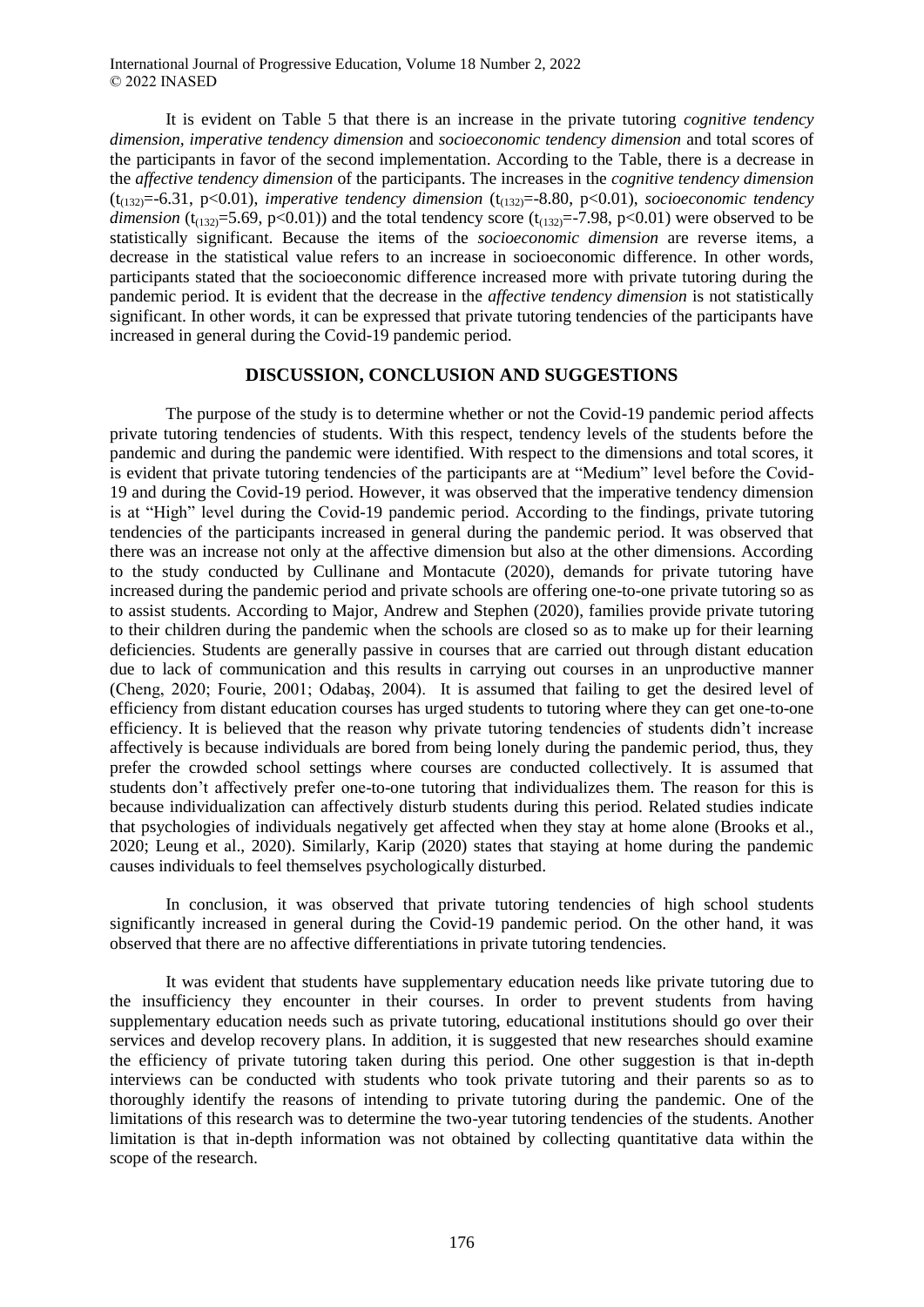It is evident on Table 5 that there is an increase in the private tutoring *cognitive tendency dimension, imperative tendency dimension* and *socioeconomic tendency dimension* and total scores of the participants in favor of the second implementation. According to the Table, there is a decrease in the *affective tendency dimension* of the participants. The increases in the *cognitive tendency dimension*   $(t<sub>(132)</sub>=-6.31, p<0.01)$ , *imperative tendency dimension*  $(t<sub>(132)</sub>=-8.80, p<0.01)$ , *socioeconomic tendency dimension* ( $t_{(132)}$ =5.69, p<0.01)) and the total tendency score ( $t_{(132)}$ =-7.98, p<0.01) were observed to be statistically significant. Because the items of the *socioeconomic dimension* are reverse items, a decrease in the statistical value refers to an increase in socioeconomic difference. In other words, participants stated that the socioeconomic difference increased more with private tutoring during the pandemic period. It is evident that the decrease in the *affective tendency dimension* is not statistically significant. In other words, it can be expressed that private tutoring tendencies of the participants have increased in general during the Covid-19 pandemic period.

## **DISCUSSION, CONCLUSION AND SUGGESTIONS**

The purpose of the study is to determine whether or not the Covid-19 pandemic period affects private tutoring tendencies of students. With this respect, tendency levels of the students before the pandemic and during the pandemic were identified. With respect to the dimensions and total scores, it is evident that private tutoring tendencies of the participants are at "Medium" level before the Covid-19 and during the Covid-19 period. However, it was observed that the imperative tendency dimension is at "High" level during the Covid-19 pandemic period. According to the findings, private tutoring tendencies of the participants increased in general during the pandemic period. It was observed that there was an increase not only at the affective dimension but also at the other dimensions. According to the study conducted by Cullinane and Montacute (2020), demands for private tutoring have increased during the pandemic period and private schools are offering one-to-one private tutoring so as to assist students. According to Major, Andrew and Stephen (2020), families provide private tutoring to their children during the pandemic when the schools are closed so as to make up for their learning deficiencies. Students are generally passive in courses that are carried out through distant education due to lack of communication and this results in carrying out courses in an unproductive manner (Cheng, 2020; Fourie, 2001; Odabaş, 2004). It is assumed that failing to get the desired level of efficiency from distant education courses has urged students to tutoring where they can get one-to-one efficiency. It is believed that the reason why private tutoring tendencies of students didn't increase affectively is because individuals are bored from being lonely during the pandemic period, thus, they prefer the crowded school settings where courses are conducted collectively. It is assumed that students don't affectively prefer one-to-one tutoring that individualizes them. The reason for this is because individualization can affectively disturb students during this period. Related studies indicate that psychologies of individuals negatively get affected when they stay at home alone (Brooks et al., 2020; Leung et al., 2020). Similarly, Karip (2020) states that staying at home during the pandemic causes individuals to feel themselves psychologically disturbed.

In conclusion, it was observed that private tutoring tendencies of high school students significantly increased in general during the Covid-19 pandemic period. On the other hand, it was observed that there are no affective differentiations in private tutoring tendencies.

It was evident that students have supplementary education needs like private tutoring due to the insufficiency they encounter in their courses. In order to prevent students from having supplementary education needs such as private tutoring, educational institutions should go over their services and develop recovery plans. In addition, it is suggested that new researches should examine the efficiency of private tutoring taken during this period. One other suggestion is that in-depth interviews can be conducted with students who took private tutoring and their parents so as to thoroughly identify the reasons of intending to private tutoring during the pandemic. One of the limitations of this research was to determine the two-year tutoring tendencies of the students. Another limitation is that in-depth information was not obtained by collecting quantitative data within the scope of the research.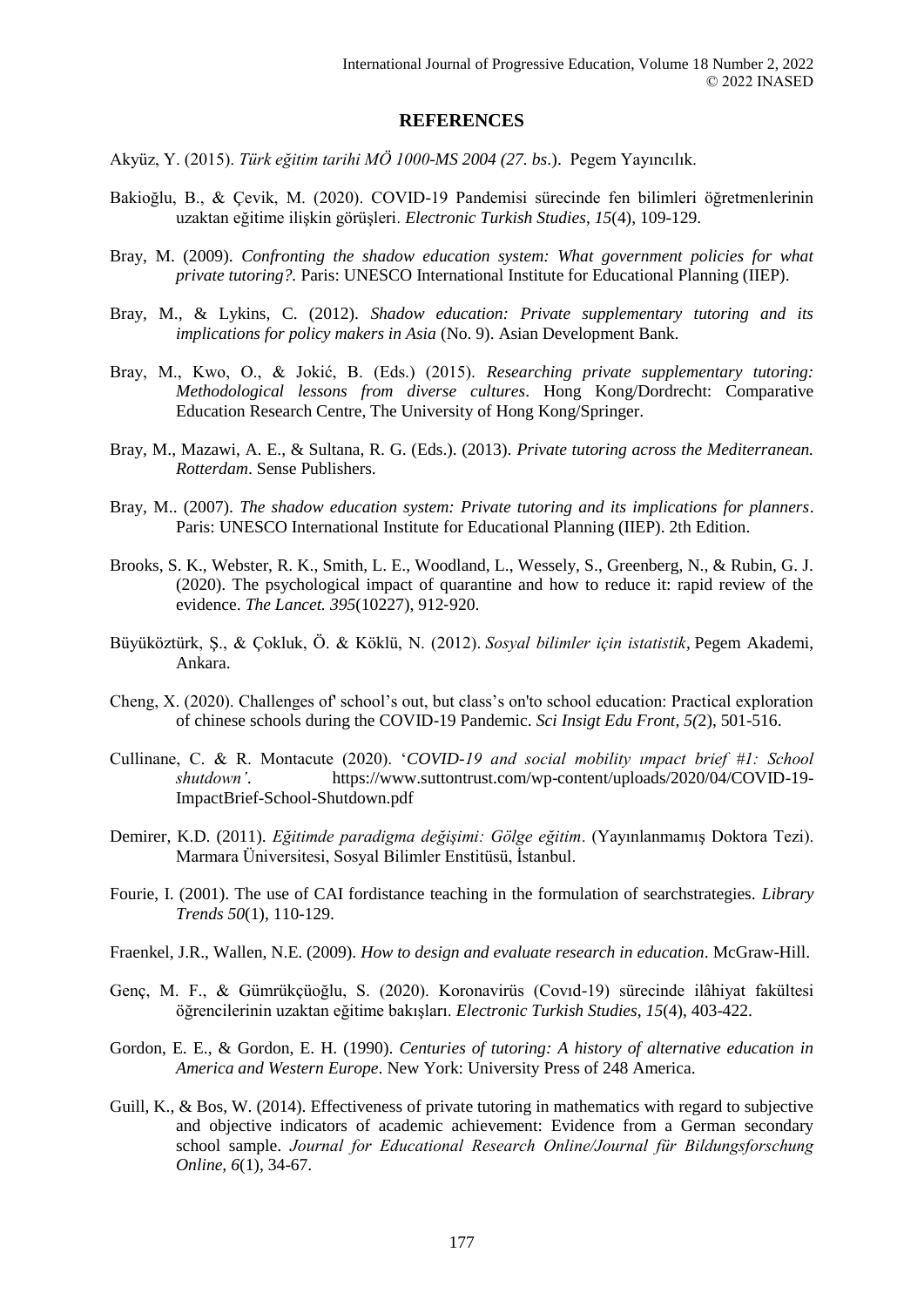## **REFERENCES**

- Akyüz, Y. (2015). *Türk eğitim tarihi MÖ 1000-MS 2004 (27. bs*.). Pegem Yayıncılık.
- Bakioğlu, B., & Çevik, M. (2020). COVID-19 Pandemisi sürecinde fen bilimleri öğretmenlerinin uzaktan eğitime ilişkin görüşleri. *Electronic Turkish Studies*, *15*(4), 109-129.
- Bray, M. (2009). *Confronting the shadow education system: What government policies for what private tutoring?.* Paris: UNESCO International Institute for Educational Planning (IIEP).
- Bray, M., & Lykins, C. (2012). *Shadow education: Private supplementary tutoring and its implications for policy makers in Asia* (No. 9). Asian Development Bank.
- Bray, M., Kwo, O., & Jokić, B. (Eds.) (2015). *Researching private supplementary tutoring: Methodological lessons from diverse cultures*. Hong Kong/Dordrecht: Comparative Education Research Centre, The University of Hong Kong/Springer.
- Bray, M., Mazawi, A. E., & Sultana, R. G. (Eds.). (2013). *Private tutoring across the Mediterranean. Rotterdam*. Sense Publishers.
- Bray, M.. (2007). *The shadow education system: Private tutoring and its implications for planners*. Paris: UNESCO International Institute for Educational Planning (IIEP). 2th Edition.
- Brooks, S. K., Webster, R. K., Smith, L. E., Woodland, L., Wessely, S., Greenberg, N., & Rubin, G. J. (2020). The psychological impact of quarantine and how to reduce it: rapid review of the evidence. *The Lancet. 395*(10227), 912‐920.
- Büyüköztürk, Ş., & Çokluk, Ö. & Köklü, N. (2012). *Sosyal bilimler için istatistik*, Pegem Akademi, Ankara.
- Cheng,  $X$ . (2020). Challenges of school's out, but class's on'to school education: Practical exploration of chinese schools during the COVID-19 Pandemic. *Sci Insigt Edu Front, 5(*2), 501-516.
- Cullinane, C. & R. Montacute (2020). '*COVID-19 and social mobility ımpact brief #1: School shutdown'*. https://www.suttontrust.com/wp-content/uploads/2020/04/COVID-19- ImpactBrief-School-Shutdown.pdf
- Demirer, K.D. (2011). *Eğitimde paradigma değişimi: Gölge eğitim*. (Yayınlanmamış Doktora Tezi). Marmara Üniversitesi, Sosyal Bilimler Enstitüsü, İstanbul.
- Fourie, I. (2001). The use of CAI fordistance teaching in the formulation of searchstrategies. *Library Trends 50*(1), 110-129.
- Fraenkel, J.R., Wallen, N.E. (2009). *How to design and evaluate research in education*. McGraw-Hill.
- Genç, M. F., & Gümrükçüoğlu, S. (2020). Koronavirüs (Covıd-19) sürecinde ilâhiyat fakültesi öğrencilerinin uzaktan eğitime bakışları. *Electronic Turkish Studies, 15*(4), 403-422.
- Gordon, E. E., & Gordon, E. H. (1990). *Centuries of tutoring: A history of alternative education in America and Western Europe*. New York: University Press of 248 America.
- Guill, K., & Bos, W. (2014). Effectiveness of private tutoring in mathematics with regard to subjective and objective indicators of academic achievement: Evidence from a German secondary school sample. *Journal for Educational Research Online/Journal für Bildungsforschung Online, 6*(1), 34-67.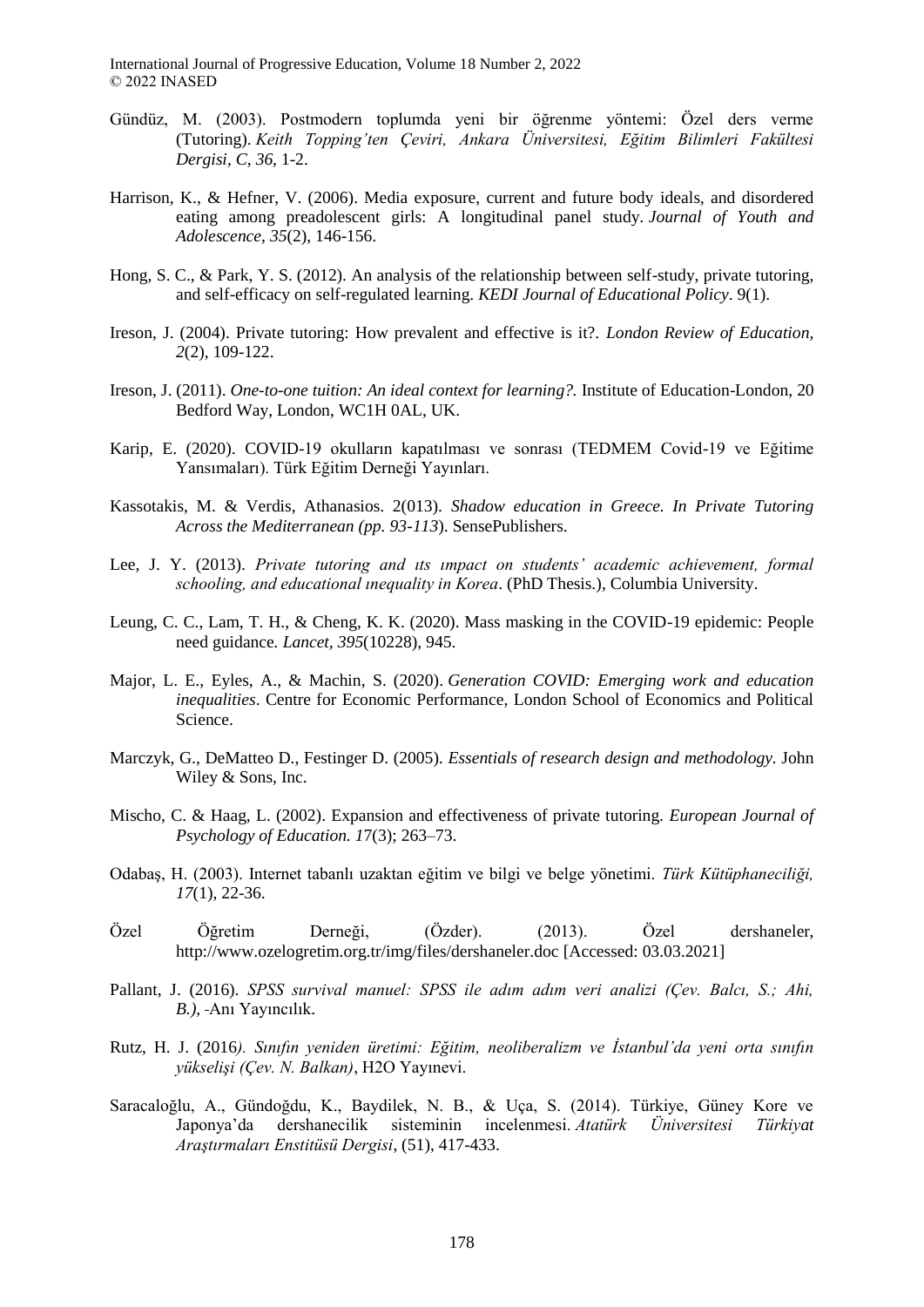- Gündüz, M. (2003). Postmodern toplumda yeni bir öğrenme yöntemi: Özel ders verme (Tutoring). *Keith Topping'ten Çeviri, Ankara Üniversitesi, Eğitim Bilimleri Fakültesi Dergisi, C*, *36*, 1-2.
- Harrison, K., & Hefner, V. (2006). Media exposure, current and future body ideals, and disordered eating among preadolescent girls: A longitudinal panel study. *Journal of Youth and Adolescence*, *35*(2), 146-156.
- Hong, S. C., & Park, Y. S. (2012). An analysis of the relationship between self-study, private tutoring, and self-efficacy on self-regulated learning. *KEDI Journal of Educational Policy*. 9(1).
- Ireson, J. (2004). Private tutoring: How prevalent and effective is it?. *London Review of Education, 2*(2), 109-122.
- Ireson, J. (2011). *One-to-one tuition: An ideal context for learning?.* Institute of Education-London, 20 Bedford Way, London, WC1H 0AL, UK.
- Karip, E. (2020). COVID-19 okulların kapatılması ve sonrası (TEDMEM Covid-19 ve Eğitime Yansımaları). Türk Eğitim Derneği Yayınları.
- Kassotakis, M. & Verdis, Athanasios. 2(013). *Shadow education in Greece. In Private Tutoring Across the Mediterranean (pp. 93-113*). SensePublishers.
- Lee, J. Y. (2013). *Private tutoring and ıts ımpact on students' academic achievement, formal schooling, and educational ınequality in Korea*. (PhD Thesis.), Columbia University.
- Leung, C. C., Lam, T. H., & Cheng, K. K. (2020). Mass masking in the COVID-19 epidemic: People need guidance*. Lancet, 395*(10228), 945.
- Major, L. E., Eyles, A., & Machin, S. (2020). *Generation COVID: Emerging work and education inequalities*. Centre for Economic Performance, London School of Economics and Political Science.
- Marczyk, G., DeMatteo D., Festinger D. (2005). *Essentials of research design and methodology.* John Wiley & Sons, Inc.
- Mischo, C. & Haag, L. (2002). Expansion and effectiveness of private tutoring. *European Journal of Psychology of Education. 1*7(3); 263–73.
- Odabaş, H. (2003). Internet tabanlı uzaktan eğitim ve bilgi ve belge yönetimi. *Türk Kütüphaneciliği, 17*(1), 22-36.
- Özel Öğretim Derneği, (Özder). (2013). Özel dershaneler, http://www.ozelogretim.org.tr/img/files/dershaneler.doc [Accessed: 03.03.2021]
- Pallant, J. (2016). *SPSS survival manuel: SPSS ile adım adım veri analizi (Çev. Balcı, S.; Ahi, B.)*, Anı Yayıncılık.
- Rutz, H. J. (2016*). Sınıfın yeniden üretimi: Eğitim, neoliberalizm ve İstanbul'da yeni orta sınıfın yükselişi (Çev. N. Balkan)*, H2O Yayınevi.
- Saracaloğlu, A., Gündoğdu, K., Baydilek, N. B., & Uça, S. (2014). Türkiye, Güney Kore ve Japonya'da dershanecilik sisteminin incelenmesi. *Atatürk Üniversitesi Türkiyat Araştırmaları Enstitüsü Dergisi*, (51), 417-433.